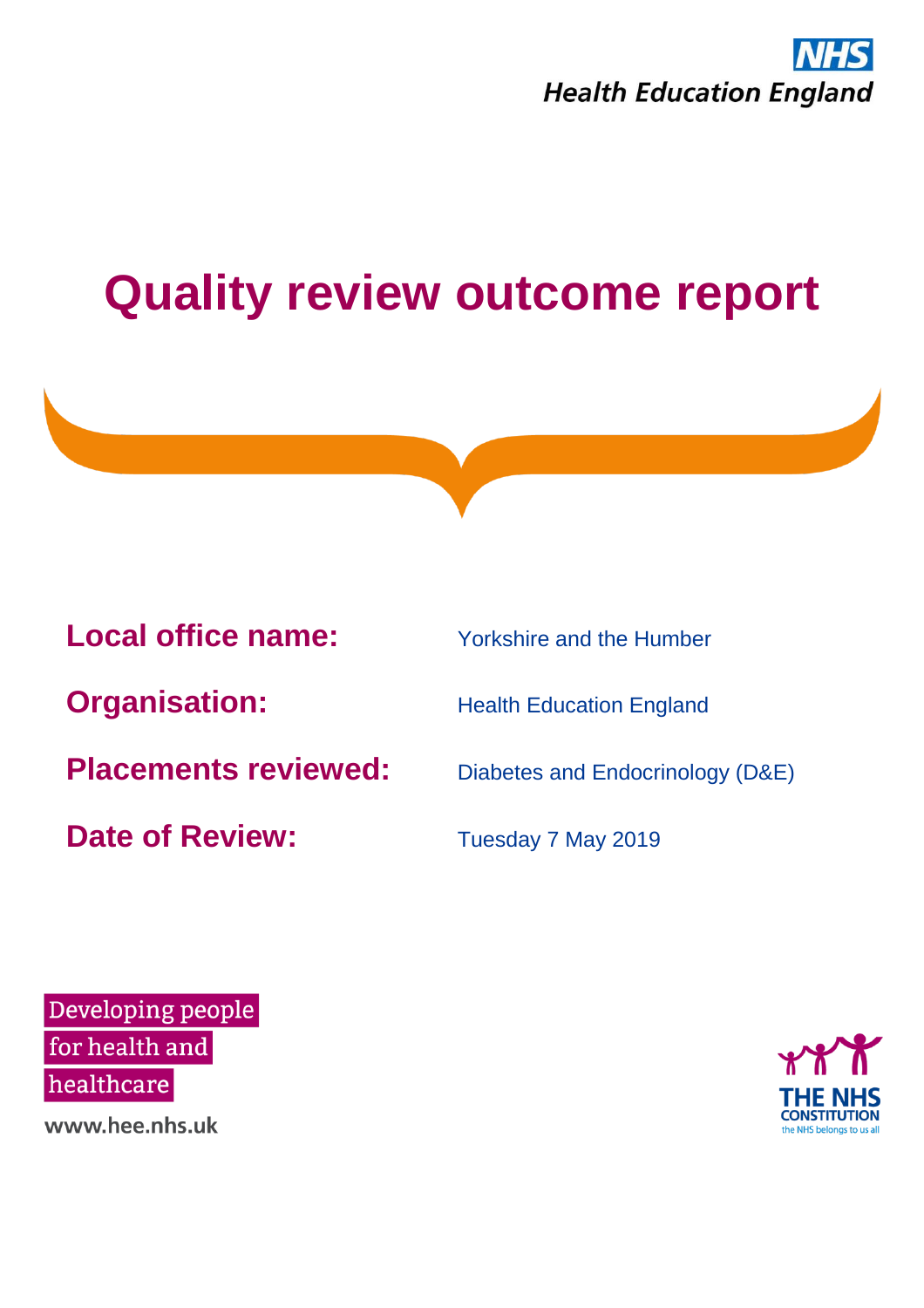



Developing people for health and healthcare

www.hee.nhs.uk

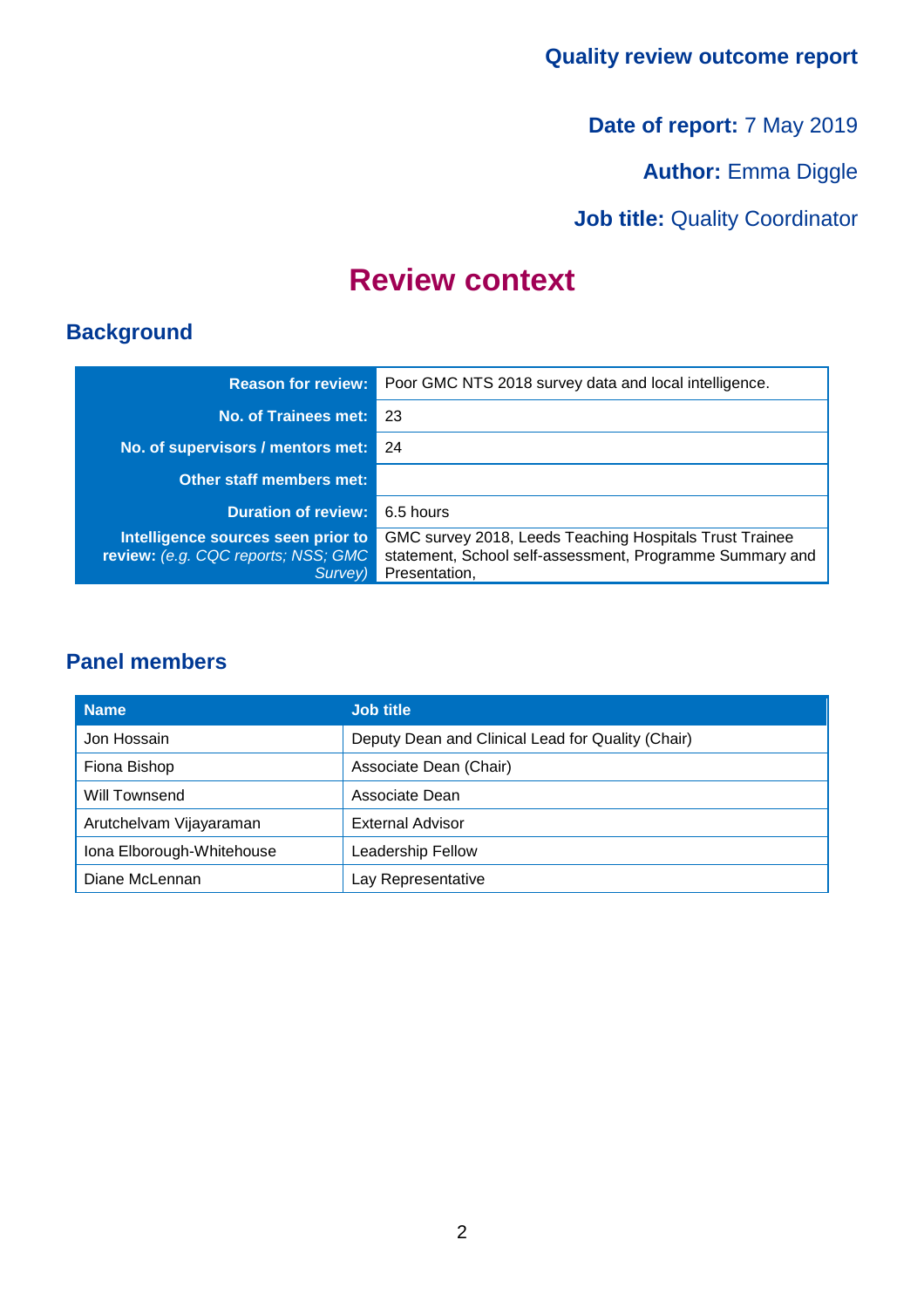**Date of report:** 7 May 2019

**Author: Emma Diggle** 

**Job title: Quality Coordinator** 

### **Review context**

### **Background**

| <b>Reason for review:</b>                                                            | Poor GMC NTS 2018 survey data and local intelligence.                                                                                |
|--------------------------------------------------------------------------------------|--------------------------------------------------------------------------------------------------------------------------------------|
| No. of Trainees met:                                                                 | -23                                                                                                                                  |
| No. of supervisors / mentors met:                                                    | 24                                                                                                                                   |
| <b>Other staff members met:</b>                                                      |                                                                                                                                      |
| <b>Duration of review:</b>                                                           | 6.5 hours                                                                                                                            |
| Intelligence sources seen prior to<br>review: (e.g. CQC reports; NSS; GMC<br>Survey) | GMC survey 2018, Leeds Teaching Hospitals Trust Trainee<br>statement, School self-assessment, Programme Summary and<br>Presentation, |

### **Panel members**

| <b>Name</b>               | <b>Job title</b>                                  |
|---------------------------|---------------------------------------------------|
| Jon Hossain               | Deputy Dean and Clinical Lead for Quality (Chair) |
| Fiona Bishop              | Associate Dean (Chair)                            |
| Will Townsend             | Associate Dean                                    |
| Arutchelvam Vijayaraman   | <b>External Advisor</b>                           |
| Iona Elborough-Whitehouse | Leadership Fellow                                 |
| Diane McLennan            | Lay Representative                                |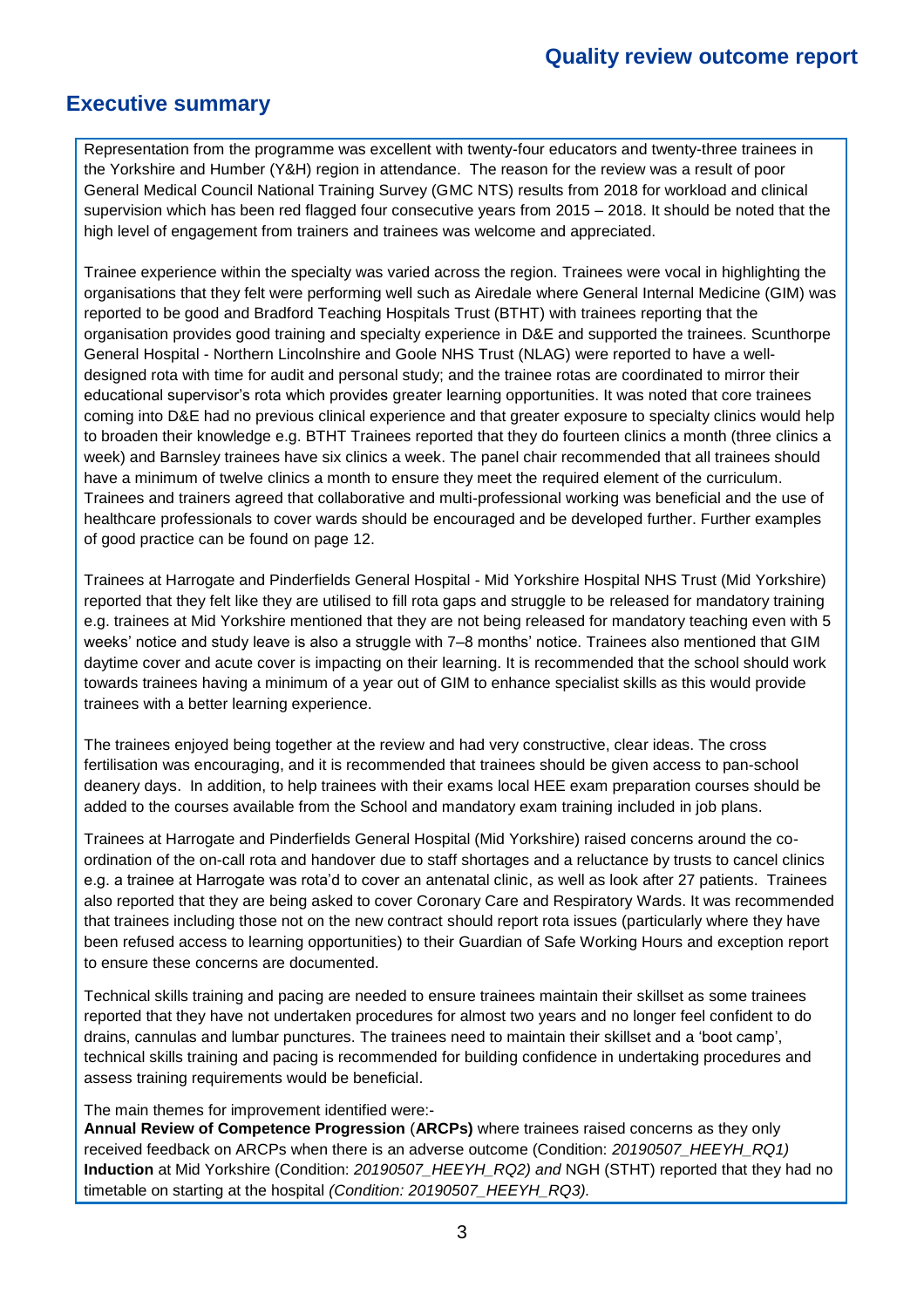#### **Executive summary**

Representation from the programme was excellent with twenty-four educators and twenty-three trainees in the Yorkshire and Humber (Y&H) region in attendance. The reason for the review was a result of poor General Medical Council National Training Survey (GMC NTS) results from 2018 for workload and clinical supervision which has been red flagged four consecutive years from 2015 – 2018. It should be noted that the high level of engagement from trainers and trainees was welcome and appreciated.

Trainee experience within the specialty was varied across the region. Trainees were vocal in highlighting the organisations that they felt were performing well such as Airedale where General Internal Medicine (GIM) was reported to be good and Bradford Teaching Hospitals Trust (BTHT) with trainees reporting that the organisation provides good training and specialty experience in D&E and supported the trainees. Scunthorpe General Hospital - Northern Lincolnshire and Goole NHS Trust (NLAG) were reported to have a welldesigned rota with time for audit and personal study; and the trainee rotas are coordinated to mirror their educational supervisor's rota which provides greater learning opportunities. It was noted that core trainees coming into D&E had no previous clinical experience and that greater exposure to specialty clinics would help to broaden their knowledge e.g. BTHT Trainees reported that they do fourteen clinics a month (three clinics a week) and Barnsley trainees have six clinics a week. The panel chair recommended that all trainees should have a minimum of twelve clinics a month to ensure they meet the required element of the curriculum. Trainees and trainers agreed that collaborative and multi-professional working was beneficial and the use of healthcare professionals to cover wards should be encouraged and be developed further. Further examples of good practice can be found on page 12.

Trainees at Harrogate and Pinderfields General Hospital - Mid Yorkshire Hospital NHS Trust (Mid Yorkshire) reported that they felt like they are utilised to fill rota gaps and struggle to be released for mandatory training e.g. trainees at Mid Yorkshire mentioned that they are not being released for mandatory teaching even with 5 weeks' notice and study leave is also a struggle with 7–8 months' notice. Trainees also mentioned that GIM daytime cover and acute cover is impacting on their learning. It is recommended that the school should work towards trainees having a minimum of a year out of GIM to enhance specialist skills as this would provide trainees with a better learning experience.

The trainees enjoyed being together at the review and had very constructive, clear ideas. The cross fertilisation was encouraging, and it is recommended that trainees should be given access to pan-school deanery days. In addition, to help trainees with their exams local HEE exam preparation courses should be added to the courses available from the School and mandatory exam training included in job plans.

Trainees at Harrogate and Pinderfields General Hospital (Mid Yorkshire) raised concerns around the coordination of the on-call rota and handover due to staff shortages and a reluctance by trusts to cancel clinics e.g. a trainee at Harrogate was rota'd to cover an antenatal clinic, as well as look after 27 patients. Trainees also reported that they are being asked to cover Coronary Care and Respiratory Wards. It was recommended that trainees including those not on the new contract should report rota issues (particularly where they have been refused access to learning opportunities) to their Guardian of Safe Working Hours and exception report to ensure these concerns are documented.

Technical skills training and pacing are needed to ensure trainees maintain their skillset as some trainees reported that they have not undertaken procedures for almost two years and no longer feel confident to do drains, cannulas and lumbar punctures. The trainees need to maintain their skillset and a 'boot camp', technical skills training and pacing is recommended for building confidence in undertaking procedures and assess training requirements would be beneficial.

#### The main themes for improvement identified were:-

**Annual Review of Competence Progression** (**ARCPs)** where trainees raised concerns as they only received feedback on ARCPs when there is an adverse outcome (Condition: *20190507\_HEEYH\_RQ1)*  **Induction** at Mid Yorkshire (Condition: *20190507\_HEEYH\_RQ2) and* NGH (STHT) reported that they had no timetable on starting at the hospital *(Condition: 20190507\_HEEYH\_RQ3).*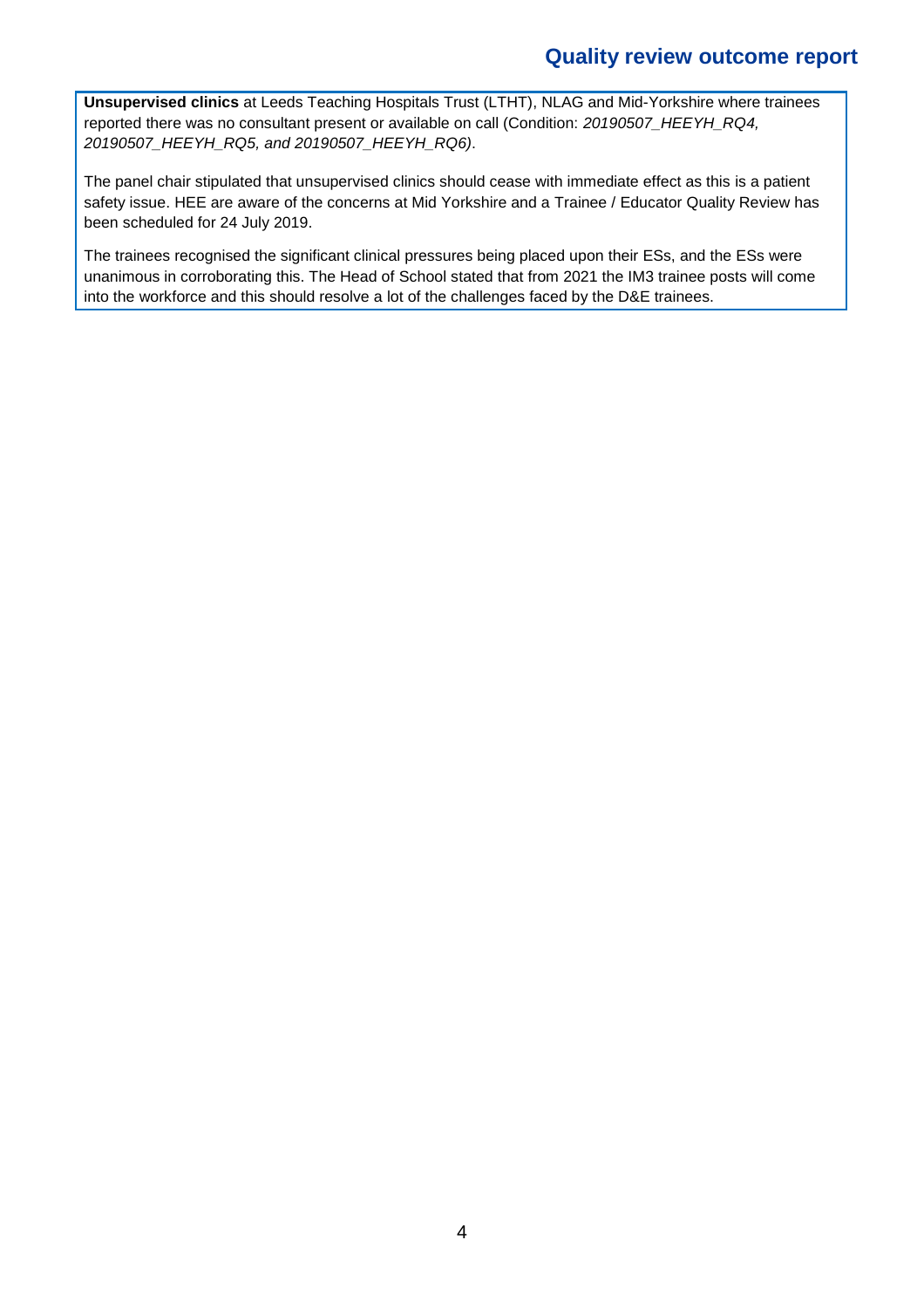**Unsupervised clinics** at Leeds Teaching Hospitals Trust (LTHT), NLAG and Mid-Yorkshire where trainees reported there was no consultant present or available on call (Condition: *20190507\_HEEYH\_RQ4, 20190507\_HEEYH\_RQ5, and 20190507\_HEEYH\_RQ6)*.

The panel chair stipulated that unsupervised clinics should cease with immediate effect as this is a patient safety issue. HEE are aware of the concerns at Mid Yorkshire and a Trainee / Educator Quality Review has been scheduled for 24 July 2019.

The trainees recognised the significant clinical pressures being placed upon their ESs, and the ESs were unanimous in corroborating this. The Head of School stated that from 2021 the IM3 trainee posts will come into the workforce and this should resolve a lot of the challenges faced by the D&E trainees.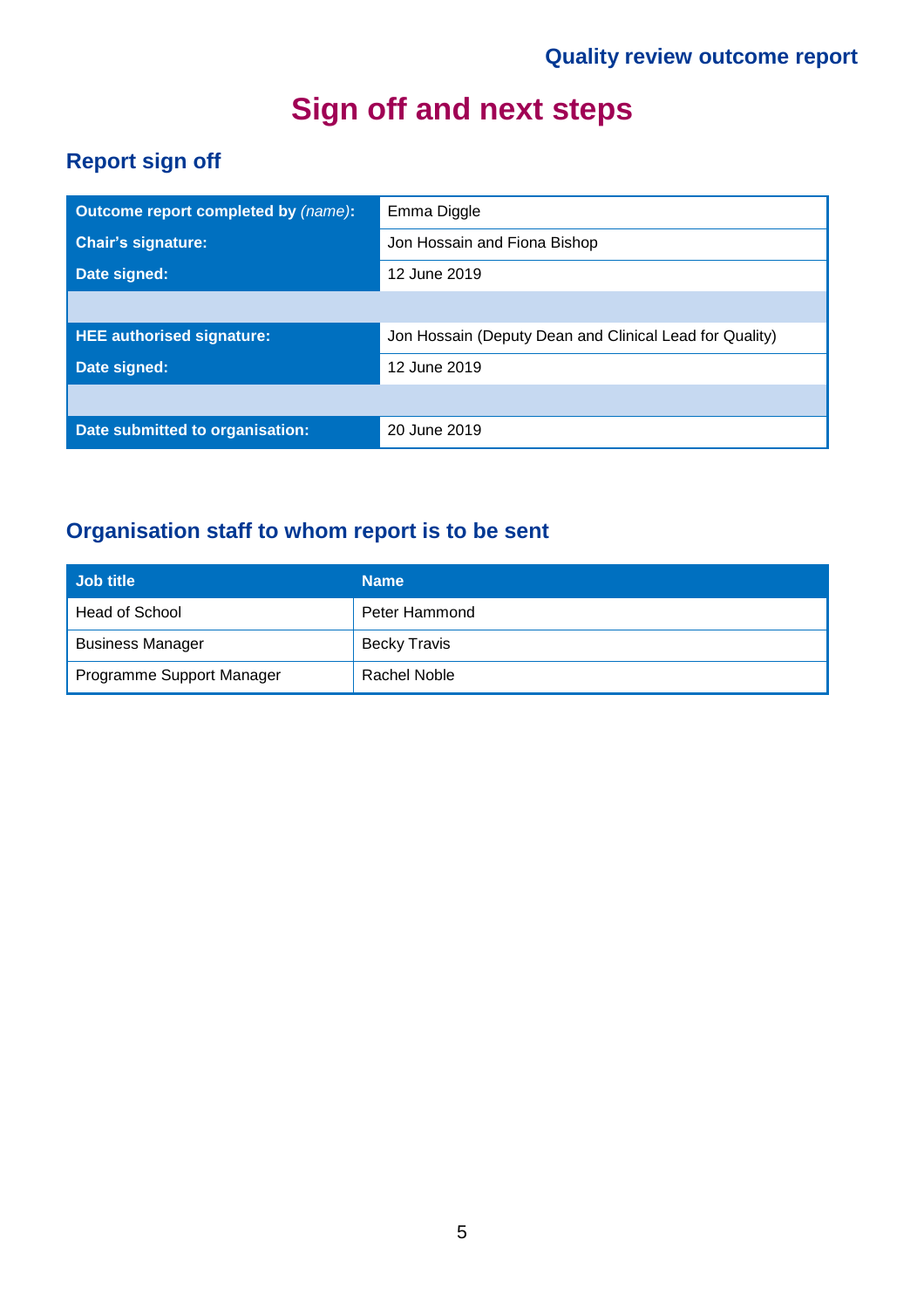# **Sign off and next steps**

### **Report sign off**

| Outcome report completed by (name): | Emma Diggle                                             |
|-------------------------------------|---------------------------------------------------------|
| <b>Chair's signature:</b>           | Jon Hossain and Fiona Bishop                            |
| Date signed:                        | 12 June 2019                                            |
|                                     |                                                         |
| <b>HEE authorised signature:</b>    | Jon Hossain (Deputy Dean and Clinical Lead for Quality) |
| Date signed:                        | 12 June 2019                                            |
|                                     |                                                         |
| Date submitted to organisation:     | 20 June 2019                                            |

### **Organisation staff to whom report is to be sent**

| ∣ Job title               | <b>Name</b>         |
|---------------------------|---------------------|
| Head of School            | Peter Hammond       |
| <b>Business Manager</b>   | <b>Becky Travis</b> |
| Programme Support Manager | Rachel Noble        |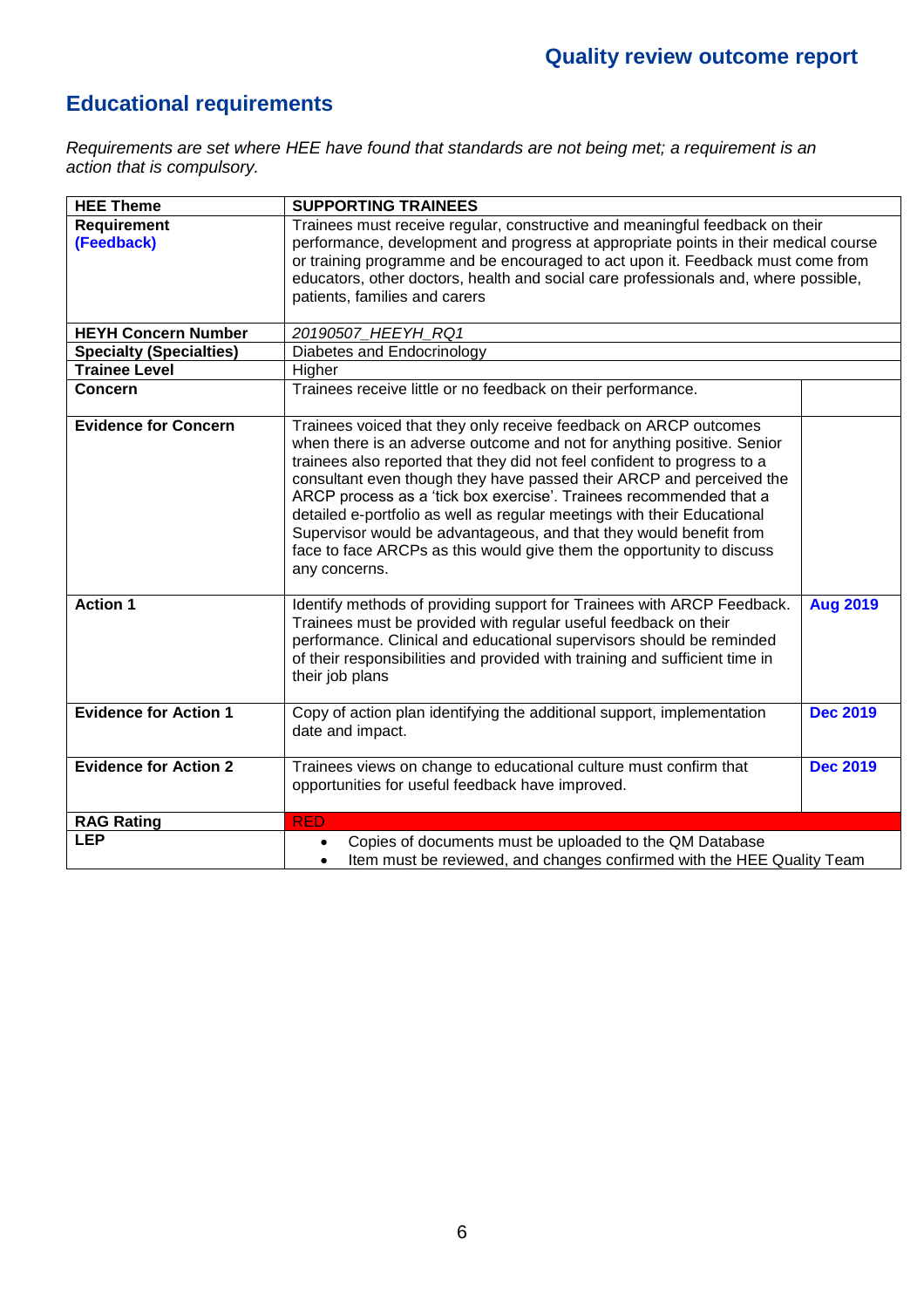### **Educational requirements**

*Requirements are set where HEE have found that standards are not being met; a requirement is an action that is compulsory.*

| <b>HEE Theme</b>               | <b>SUPPORTING TRAINEES</b>                                                                                                                                                                                                                                                                                                                                                                                                                                                                                                                                                                                      |                 |
|--------------------------------|-----------------------------------------------------------------------------------------------------------------------------------------------------------------------------------------------------------------------------------------------------------------------------------------------------------------------------------------------------------------------------------------------------------------------------------------------------------------------------------------------------------------------------------------------------------------------------------------------------------------|-----------------|
| <b>Requirement</b>             | Trainees must receive regular, constructive and meaningful feedback on their                                                                                                                                                                                                                                                                                                                                                                                                                                                                                                                                    |                 |
| (Feedback)                     | performance, development and progress at appropriate points in their medical course                                                                                                                                                                                                                                                                                                                                                                                                                                                                                                                             |                 |
|                                | or training programme and be encouraged to act upon it. Feedback must come from                                                                                                                                                                                                                                                                                                                                                                                                                                                                                                                                 |                 |
|                                | educators, other doctors, health and social care professionals and, where possible,                                                                                                                                                                                                                                                                                                                                                                                                                                                                                                                             |                 |
|                                | patients, families and carers                                                                                                                                                                                                                                                                                                                                                                                                                                                                                                                                                                                   |                 |
|                                |                                                                                                                                                                                                                                                                                                                                                                                                                                                                                                                                                                                                                 |                 |
| <b>HEYH Concern Number</b>     | 20190507_HEEYH_RQ1                                                                                                                                                                                                                                                                                                                                                                                                                                                                                                                                                                                              |                 |
| <b>Specialty (Specialties)</b> | Diabetes and Endocrinology                                                                                                                                                                                                                                                                                                                                                                                                                                                                                                                                                                                      |                 |
| <b>Trainee Level</b>           | Higher                                                                                                                                                                                                                                                                                                                                                                                                                                                                                                                                                                                                          |                 |
| Concern                        | Trainees receive little or no feedback on their performance.                                                                                                                                                                                                                                                                                                                                                                                                                                                                                                                                                    |                 |
| <b>Evidence for Concern</b>    | Trainees voiced that they only receive feedback on ARCP outcomes<br>when there is an adverse outcome and not for anything positive. Senior<br>trainees also reported that they did not feel confident to progress to a<br>consultant even though they have passed their ARCP and perceived the<br>ARCP process as a 'tick box exercise'. Trainees recommended that a<br>detailed e-portfolio as well as regular meetings with their Educational<br>Supervisor would be advantageous, and that they would benefit from<br>face to face ARCPs as this would give them the opportunity to discuss<br>any concerns. |                 |
| <b>Action 1</b>                | Identify methods of providing support for Trainees with ARCP Feedback.<br>Trainees must be provided with regular useful feedback on their<br>performance. Clinical and educational supervisors should be reminded<br>of their responsibilities and provided with training and sufficient time in<br>their job plans                                                                                                                                                                                                                                                                                             | <b>Aug 2019</b> |
| <b>Evidence for Action 1</b>   | Copy of action plan identifying the additional support, implementation<br>date and impact.                                                                                                                                                                                                                                                                                                                                                                                                                                                                                                                      | <b>Dec 2019</b> |
| <b>Evidence for Action 2</b>   | Trainees views on change to educational culture must confirm that<br>opportunities for useful feedback have improved.                                                                                                                                                                                                                                                                                                                                                                                                                                                                                           | <b>Dec 2019</b> |
| <b>RAG Rating</b>              | <b>RED</b>                                                                                                                                                                                                                                                                                                                                                                                                                                                                                                                                                                                                      |                 |
| <b>LEP</b>                     | Copies of documents must be uploaded to the QM Database                                                                                                                                                                                                                                                                                                                                                                                                                                                                                                                                                         |                 |
|                                | Item must be reviewed, and changes confirmed with the HEE Quality Team                                                                                                                                                                                                                                                                                                                                                                                                                                                                                                                                          |                 |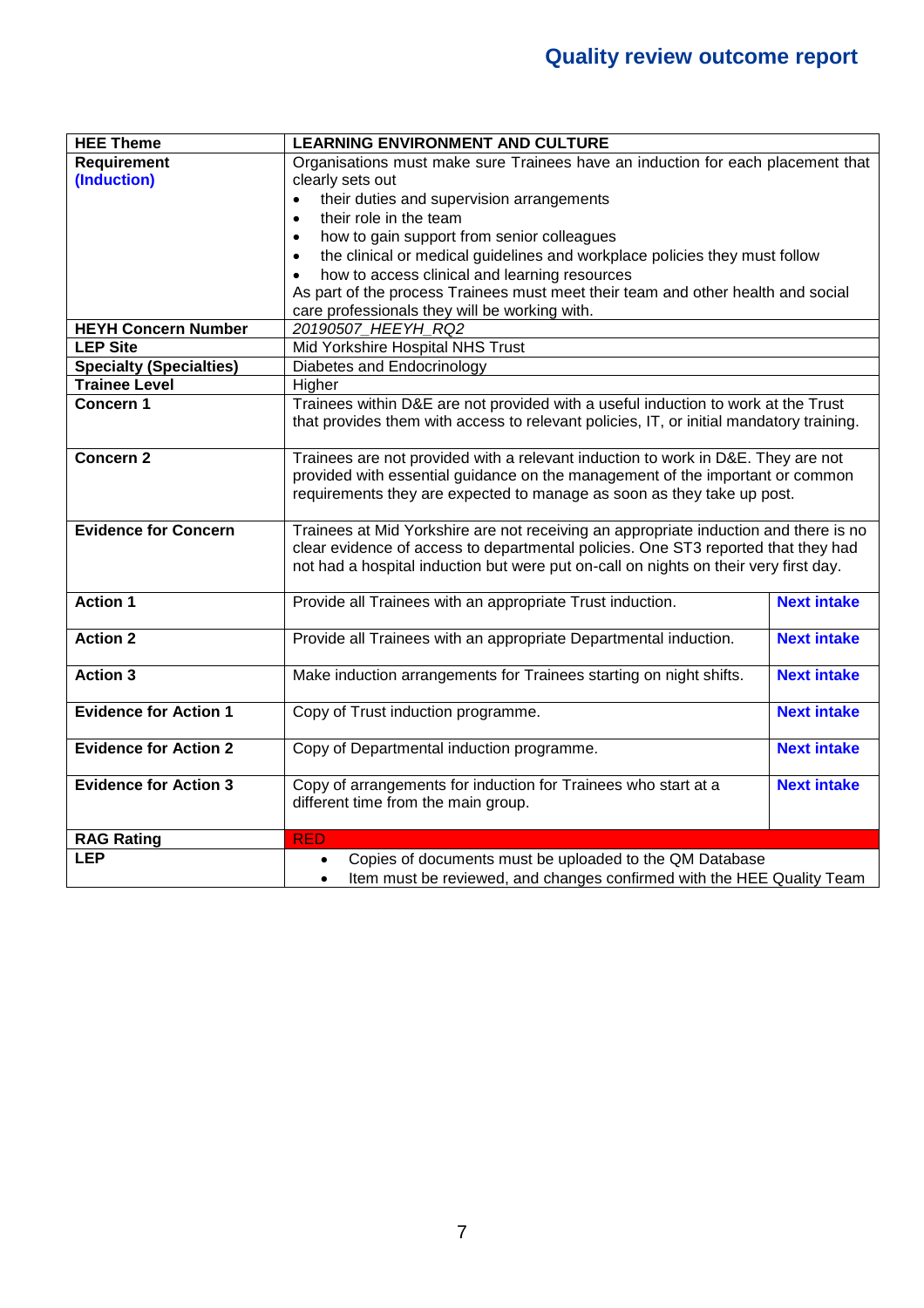| <b>HEE Theme</b>               | <b>LEARNING ENVIRONMENT AND CULTURE</b>                                                 |                    |  |
|--------------------------------|-----------------------------------------------------------------------------------------|--------------------|--|
| <b>Requirement</b>             | Organisations must make sure Trainees have an induction for each placement that         |                    |  |
| (Induction)                    | clearly sets out                                                                        |                    |  |
|                                | their duties and supervision arrangements                                               |                    |  |
|                                | their role in the team<br>$\bullet$                                                     |                    |  |
|                                | how to gain support from senior colleagues<br>$\bullet$                                 |                    |  |
|                                | the clinical or medical guidelines and workplace policies they must follow<br>$\bullet$ |                    |  |
|                                | how to access clinical and learning resources                                           |                    |  |
|                                | As part of the process Trainees must meet their team and other health and social        |                    |  |
|                                | care professionals they will be working with.                                           |                    |  |
| <b>HEYH Concern Number</b>     | 20190507 HEEYH RQ2                                                                      |                    |  |
| <b>LEP Site</b>                | Mid Yorkshire Hospital NHS Trust                                                        |                    |  |
| <b>Specialty (Specialties)</b> | Diabetes and Endocrinology                                                              |                    |  |
| <b>Trainee Level</b>           | Higher                                                                                  |                    |  |
| Concern 1                      | Trainees within D&E are not provided with a useful induction to work at the Trust       |                    |  |
|                                | that provides them with access to relevant policies, IT, or initial mandatory training. |                    |  |
|                                |                                                                                         |                    |  |
| <b>Concern 2</b>               | Trainees are not provided with a relevant induction to work in D&E. They are not        |                    |  |
|                                | provided with essential guidance on the management of the important or common           |                    |  |
|                                | requirements they are expected to manage as soon as they take up post.                  |                    |  |
| <b>Evidence for Concern</b>    | Trainees at Mid Yorkshire are not receiving an appropriate induction and there is no    |                    |  |
|                                | clear evidence of access to departmental policies. One ST3 reported that they had       |                    |  |
|                                | not had a hospital induction but were put on-call on nights on their very first day.    |                    |  |
|                                |                                                                                         |                    |  |
| <b>Action 1</b>                | Provide all Trainees with an appropriate Trust induction.                               | <b>Next intake</b> |  |
|                                |                                                                                         |                    |  |
| <b>Action 2</b>                | Provide all Trainees with an appropriate Departmental induction.                        | <b>Next intake</b> |  |
|                                |                                                                                         |                    |  |
| <b>Action 3</b>                | Make induction arrangements for Trainees starting on night shifts.                      | <b>Next intake</b> |  |
|                                |                                                                                         |                    |  |
| <b>Evidence for Action 1</b>   | Copy of Trust induction programme.                                                      | <b>Next intake</b> |  |
|                                |                                                                                         |                    |  |
| <b>Evidence for Action 2</b>   | Copy of Departmental induction programme.                                               | <b>Next intake</b> |  |
|                                |                                                                                         |                    |  |
| <b>Evidence for Action 3</b>   | Copy of arrangements for induction for Trainees who start at a                          | <b>Next intake</b> |  |
|                                | different time from the main group.                                                     |                    |  |
|                                |                                                                                         |                    |  |
| <b>RAG Rating</b>              | <b>RED</b>                                                                              |                    |  |
| <b>LEP</b>                     | Copies of documents must be uploaded to the QM Database<br>$\bullet$                    |                    |  |
|                                | Item must be reviewed, and changes confirmed with the HEE Quality Team<br>$\bullet$     |                    |  |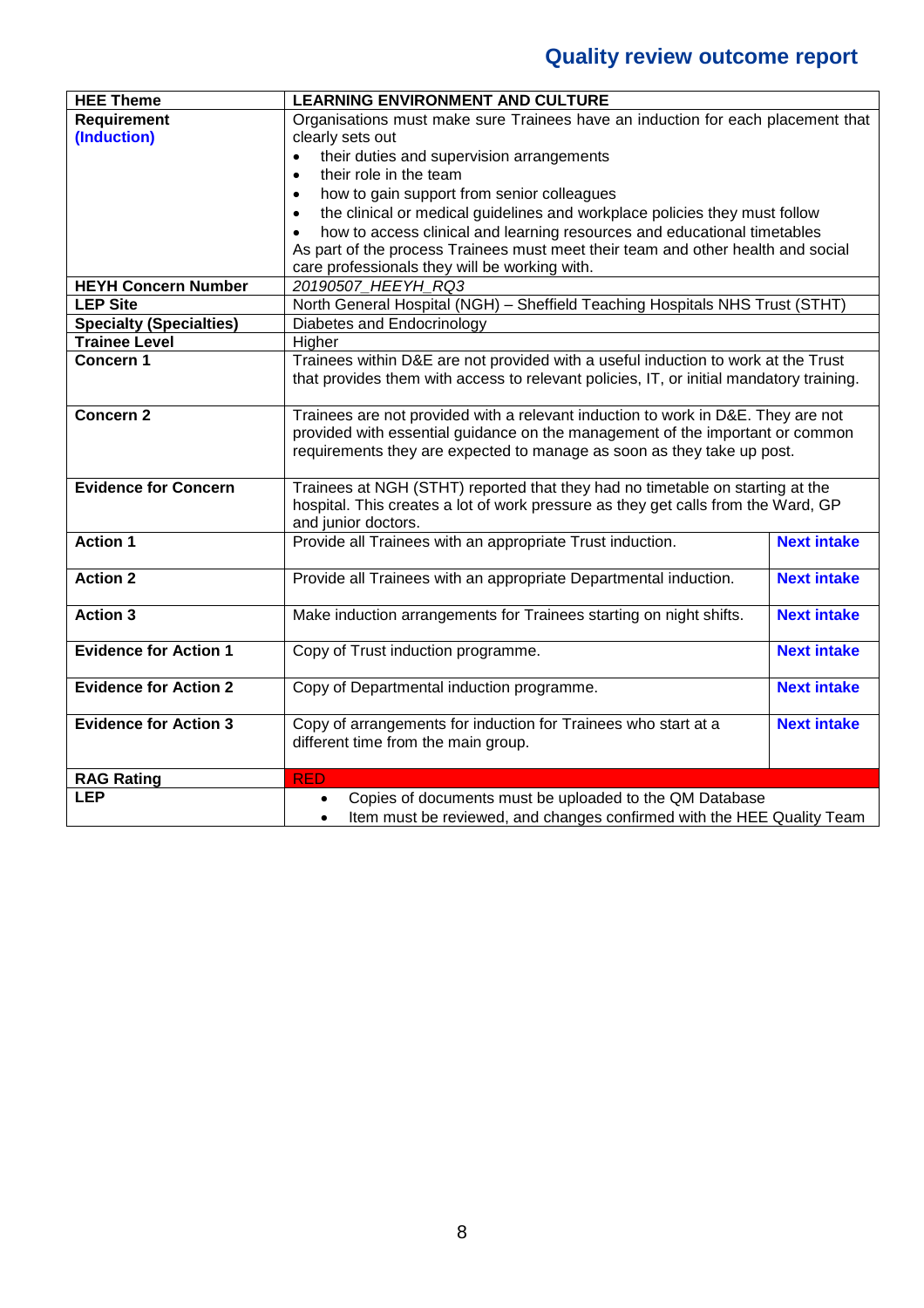| <b>HEE Theme</b>               | <b>LEARNING ENVIRONMENT AND CULTURE</b>                                                 |                    |  |
|--------------------------------|-----------------------------------------------------------------------------------------|--------------------|--|
| <b>Requirement</b>             | Organisations must make sure Trainees have an induction for each placement that         |                    |  |
| (Induction)                    | clearly sets out                                                                        |                    |  |
|                                | their duties and supervision arrangements<br>$\bullet$                                  |                    |  |
|                                | their role in the team<br>$\bullet$                                                     |                    |  |
|                                | how to gain support from senior colleagues<br>$\bullet$                                 |                    |  |
|                                | the clinical or medical guidelines and workplace policies they must follow<br>$\bullet$ |                    |  |
|                                | how to access clinical and learning resources and educational timetables<br>$\bullet$   |                    |  |
|                                | As part of the process Trainees must meet their team and other health and social        |                    |  |
|                                | care professionals they will be working with.                                           |                    |  |
| <b>HEYH Concern Number</b>     | 20190507 HEEYH RQ3                                                                      |                    |  |
| <b>LEP Site</b>                | North General Hospital (NGH) - Sheffield Teaching Hospitals NHS Trust (STHT)            |                    |  |
| <b>Specialty (Specialties)</b> | Diabetes and Endocrinology                                                              |                    |  |
| <b>Trainee Level</b>           | Higher                                                                                  |                    |  |
| Concern 1                      | Trainees within D&E are not provided with a useful induction to work at the Trust       |                    |  |
|                                | that provides them with access to relevant policies, IT, or initial mandatory training. |                    |  |
|                                |                                                                                         |                    |  |
| <b>Concern 2</b>               | Trainees are not provided with a relevant induction to work in D&E. They are not        |                    |  |
|                                | provided with essential guidance on the management of the important or common           |                    |  |
|                                | requirements they are expected to manage as soon as they take up post.                  |                    |  |
| <b>Evidence for Concern</b>    | Trainees at NGH (STHT) reported that they had no timetable on starting at the           |                    |  |
|                                | hospital. This creates a lot of work pressure as they get calls from the Ward, GP       |                    |  |
|                                | and junior doctors.                                                                     |                    |  |
| <b>Action 1</b>                | Provide all Trainees with an appropriate Trust induction.                               | <b>Next intake</b> |  |
|                                |                                                                                         |                    |  |
| <b>Action 2</b>                | Provide all Trainees with an appropriate Departmental induction.                        | <b>Next intake</b> |  |
|                                |                                                                                         |                    |  |
| <b>Action 3</b>                | Make induction arrangements for Trainees starting on night shifts.                      | <b>Next intake</b> |  |
|                                |                                                                                         |                    |  |
| <b>Evidence for Action 1</b>   | Copy of Trust induction programme.                                                      | <b>Next intake</b> |  |
|                                |                                                                                         |                    |  |
| <b>Evidence for Action 2</b>   | Copy of Departmental induction programme.                                               | <b>Next intake</b> |  |
|                                |                                                                                         |                    |  |
| <b>Evidence for Action 3</b>   | Copy of arrangements for induction for Trainees who start at a                          | <b>Next intake</b> |  |
|                                | different time from the main group.                                                     |                    |  |
|                                |                                                                                         |                    |  |
| <b>RAG Rating</b>              | <b>RED</b>                                                                              |                    |  |
| <b>LEP</b>                     | Copies of documents must be uploaded to the QM Database<br>$\bullet$                    |                    |  |
|                                | Item must be reviewed, and changes confirmed with the HEE Quality Team                  |                    |  |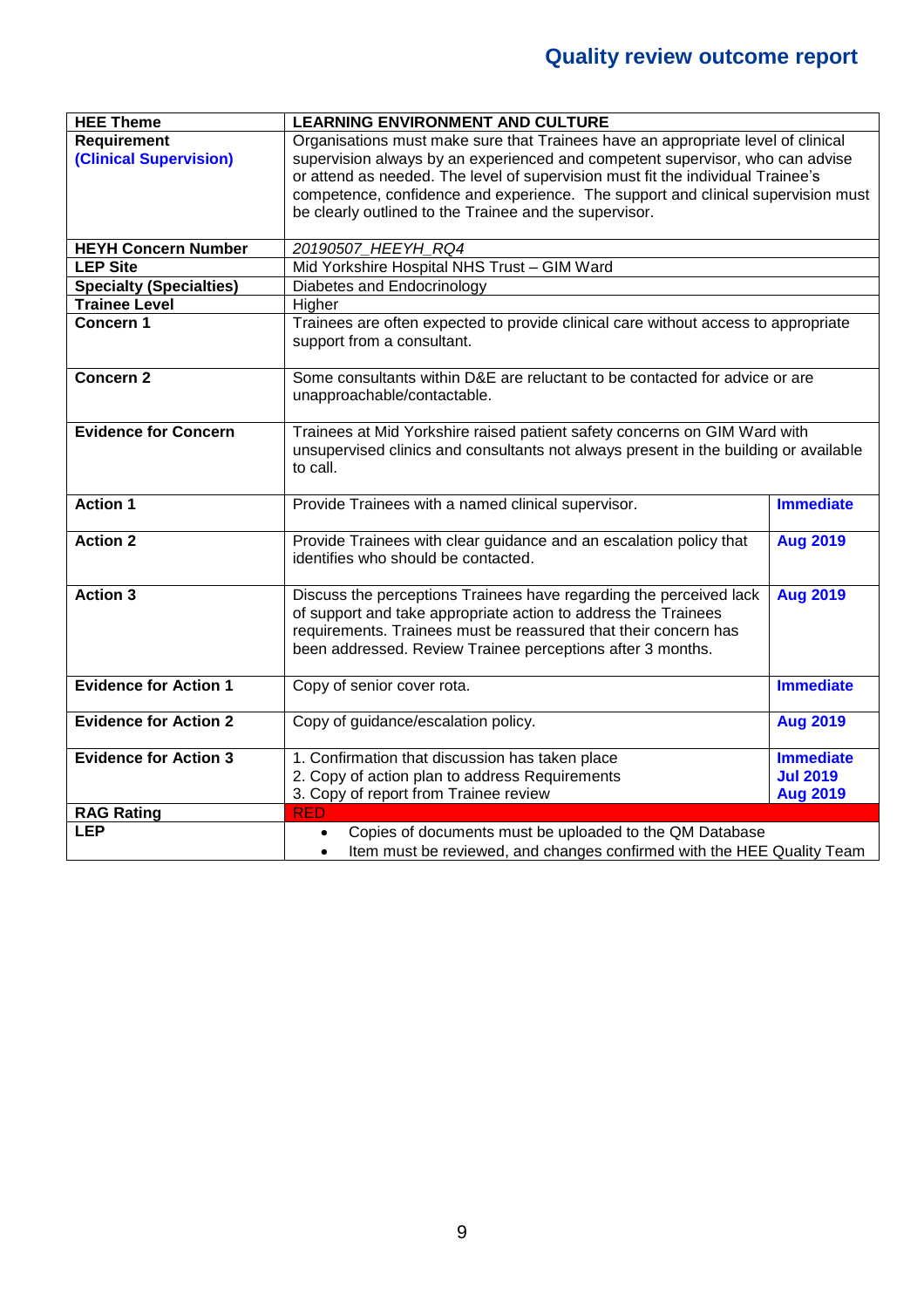| <b>HEE Theme</b>               | <b>LEARNING ENVIRONMENT AND CULTURE</b>                                              |                  |  |
|--------------------------------|--------------------------------------------------------------------------------------|------------------|--|
| <b>Requirement</b>             | Organisations must make sure that Trainees have an appropriate level of clinical     |                  |  |
| (Clinical Supervision)         | supervision always by an experienced and competent supervisor, who can advise        |                  |  |
|                                | or attend as needed. The level of supervision must fit the individual Trainee's      |                  |  |
|                                | competence, confidence and experience. The support and clinical supervision must     |                  |  |
|                                | be clearly outlined to the Trainee and the supervisor.                               |                  |  |
|                                |                                                                                      |                  |  |
| <b>HEYH Concern Number</b>     | 20190507_HEEYH_RQ4                                                                   |                  |  |
| <b>LEP Site</b>                | Mid Yorkshire Hospital NHS Trust - GIM Ward                                          |                  |  |
| <b>Specialty (Specialties)</b> | Diabetes and Endocrinology                                                           |                  |  |
| <b>Trainee Level</b>           | Higher                                                                               |                  |  |
| Concern 1                      | Trainees are often expected to provide clinical care without access to appropriate   |                  |  |
|                                | support from a consultant.                                                           |                  |  |
|                                |                                                                                      |                  |  |
| <b>Concern 2</b>               | Some consultants within D&E are reluctant to be contacted for advice or are          |                  |  |
|                                | unapproachable/contactable.                                                          |                  |  |
|                                |                                                                                      |                  |  |
| <b>Evidence for Concern</b>    | Trainees at Mid Yorkshire raised patient safety concerns on GIM Ward with            |                  |  |
|                                | unsupervised clinics and consultants not always present in the building or available |                  |  |
|                                | to call.                                                                             |                  |  |
|                                |                                                                                      |                  |  |
| <b>Action 1</b>                | Provide Trainees with a named clinical supervisor.                                   | <b>Immediate</b> |  |
|                                |                                                                                      |                  |  |
| <b>Action 2</b>                | Provide Trainees with clear guidance and an escalation policy that                   | <b>Aug 2019</b>  |  |
|                                | identifies who should be contacted.                                                  |                  |  |
|                                |                                                                                      |                  |  |
| <b>Action 3</b>                | Discuss the perceptions Trainees have regarding the perceived lack                   | <b>Aug 2019</b>  |  |
|                                | of support and take appropriate action to address the Trainees                       |                  |  |
|                                | requirements. Trainees must be reassured that their concern has                      |                  |  |
|                                | been addressed. Review Trainee perceptions after 3 months.                           |                  |  |
|                                |                                                                                      |                  |  |
| <b>Evidence for Action 1</b>   | Copy of senior cover rota.                                                           | <b>Immediate</b> |  |
|                                |                                                                                      |                  |  |
| <b>Evidence for Action 2</b>   | Copy of guidance/escalation policy.                                                  | <b>Aug 2019</b>  |  |
|                                |                                                                                      |                  |  |
| <b>Evidence for Action 3</b>   | 1. Confirmation that discussion has taken place                                      | <b>Immediate</b> |  |
|                                | 2. Copy of action plan to address Requirements                                       | <b>Jul 2019</b>  |  |
|                                | 3. Copy of report from Trainee review                                                | <b>Aug 2019</b>  |  |
| <b>RAG Rating</b>              | <b>RED</b>                                                                           |                  |  |
| <b>LEP</b>                     | Copies of documents must be uploaded to the QM Database                              |                  |  |
|                                | Item must be reviewed, and changes confirmed with the HEE Quality Team<br>$\bullet$  |                  |  |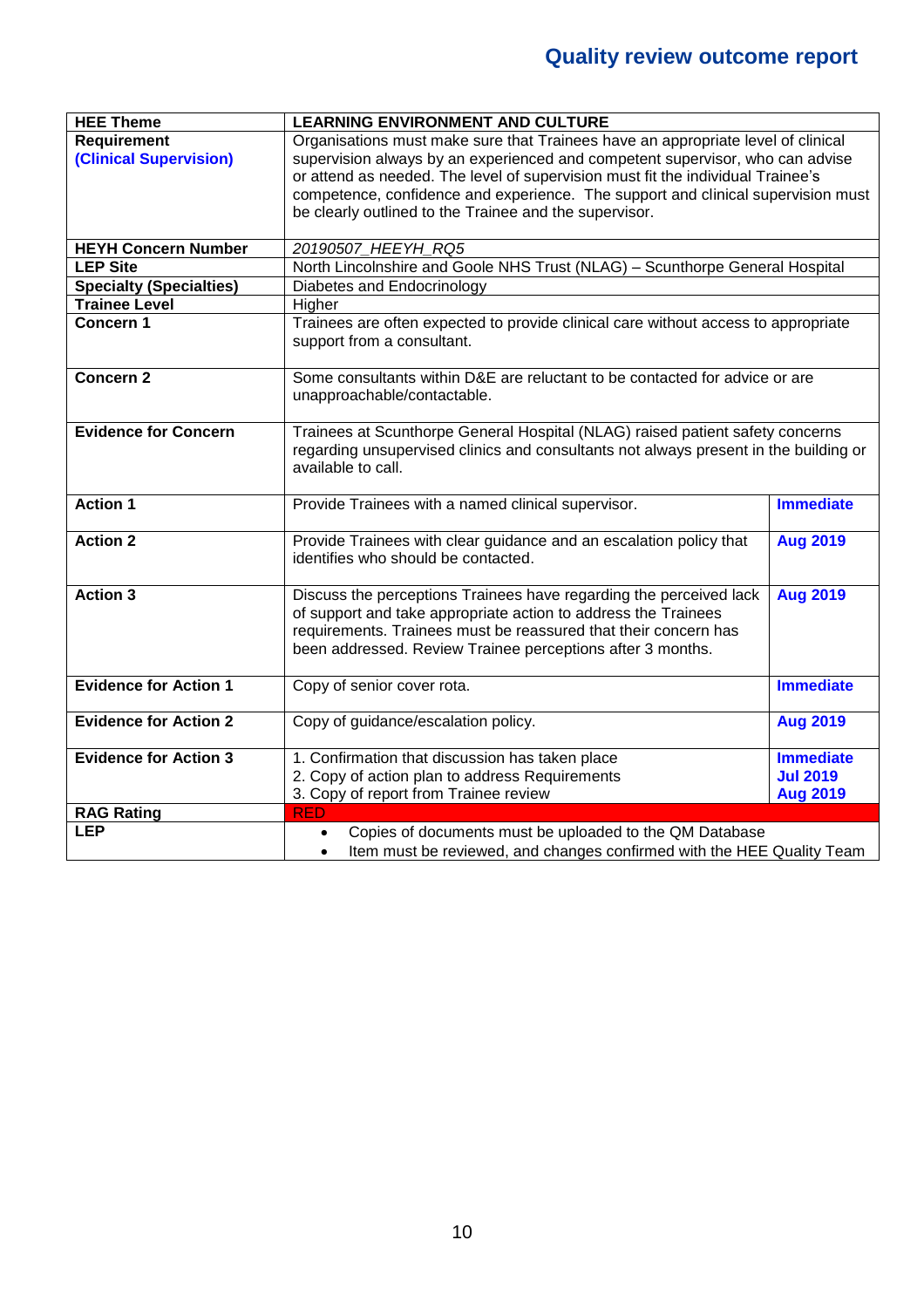| <b>HEE Theme</b>                | <b>LEARNING ENVIRONMENT AND CULTURE</b>                                                           |                  |  |
|---------------------------------|---------------------------------------------------------------------------------------------------|------------------|--|
| <b>Requirement</b>              | Organisations must make sure that Trainees have an appropriate level of clinical                  |                  |  |
| <b>(Clinical Supervision)</b>   | supervision always by an experienced and competent supervisor, who can advise                     |                  |  |
|                                 | or attend as needed. The level of supervision must fit the individual Trainee's                   |                  |  |
|                                 | competence, confidence and experience. The support and clinical supervision must                  |                  |  |
|                                 | be clearly outlined to the Trainee and the supervisor.                                            |                  |  |
|                                 |                                                                                                   |                  |  |
| <b>HEYH Concern Number</b>      | 20190507_HEEYH_RQ5                                                                                |                  |  |
| <b>LEP Site</b>                 | North Lincolnshire and Goole NHS Trust (NLAG) - Scunthorpe General Hospital                       |                  |  |
| <b>Specialty (Specialties)</b>  | Diabetes and Endocrinology                                                                        |                  |  |
| <b>Trainee Level</b>            | Higher                                                                                            |                  |  |
| Concern 1                       | Trainees are often expected to provide clinical care without access to appropriate                |                  |  |
|                                 | support from a consultant.                                                                        |                  |  |
|                                 |                                                                                                   |                  |  |
| <b>Concern 2</b>                | Some consultants within D&E are reluctant to be contacted for advice or are                       |                  |  |
|                                 | unapproachable/contactable.                                                                       |                  |  |
|                                 |                                                                                                   |                  |  |
| <b>Evidence for Concern</b>     | Trainees at Scunthorpe General Hospital (NLAG) raised patient safety concerns                     |                  |  |
|                                 | regarding unsupervised clinics and consultants not always present in the building or              |                  |  |
|                                 | available to call.                                                                                |                  |  |
|                                 |                                                                                                   |                  |  |
| <b>Action 1</b>                 | Provide Trainees with a named clinical supervisor.                                                | <b>Immediate</b> |  |
|                                 |                                                                                                   |                  |  |
| <b>Action 2</b>                 | Provide Trainees with clear guidance and an escalation policy that                                | <b>Aug 2019</b>  |  |
|                                 | identifies who should be contacted.                                                               |                  |  |
|                                 |                                                                                                   |                  |  |
| <b>Action 3</b>                 | Discuss the perceptions Trainees have regarding the perceived lack                                | <b>Aug 2019</b>  |  |
|                                 | of support and take appropriate action to address the Trainees                                    |                  |  |
|                                 | requirements. Trainees must be reassured that their concern has                                   |                  |  |
|                                 | been addressed. Review Trainee perceptions after 3 months.                                        |                  |  |
|                                 |                                                                                                   |                  |  |
| <b>Evidence for Action 1</b>    | Copy of senior cover rota.                                                                        | <b>Immediate</b> |  |
|                                 |                                                                                                   |                  |  |
| <b>Evidence for Action 2</b>    | Copy of guidance/escalation policy.                                                               | <b>Aug 2019</b>  |  |
| <b>Evidence for Action 3</b>    |                                                                                                   | <b>Immediate</b> |  |
|                                 | 1. Confirmation that discussion has taken place<br>2. Copy of action plan to address Requirements | <b>Jul 2019</b>  |  |
|                                 |                                                                                                   |                  |  |
|                                 | 3. Copy of report from Trainee review<br><b>RED</b>                                               | <b>Aug 2019</b>  |  |
| <b>RAG Rating</b><br><b>LEP</b> |                                                                                                   |                  |  |
|                                 | Copies of documents must be uploaded to the QM Database                                           |                  |  |
|                                 | Item must be reviewed, and changes confirmed with the HEE Quality Team<br>$\bullet$               |                  |  |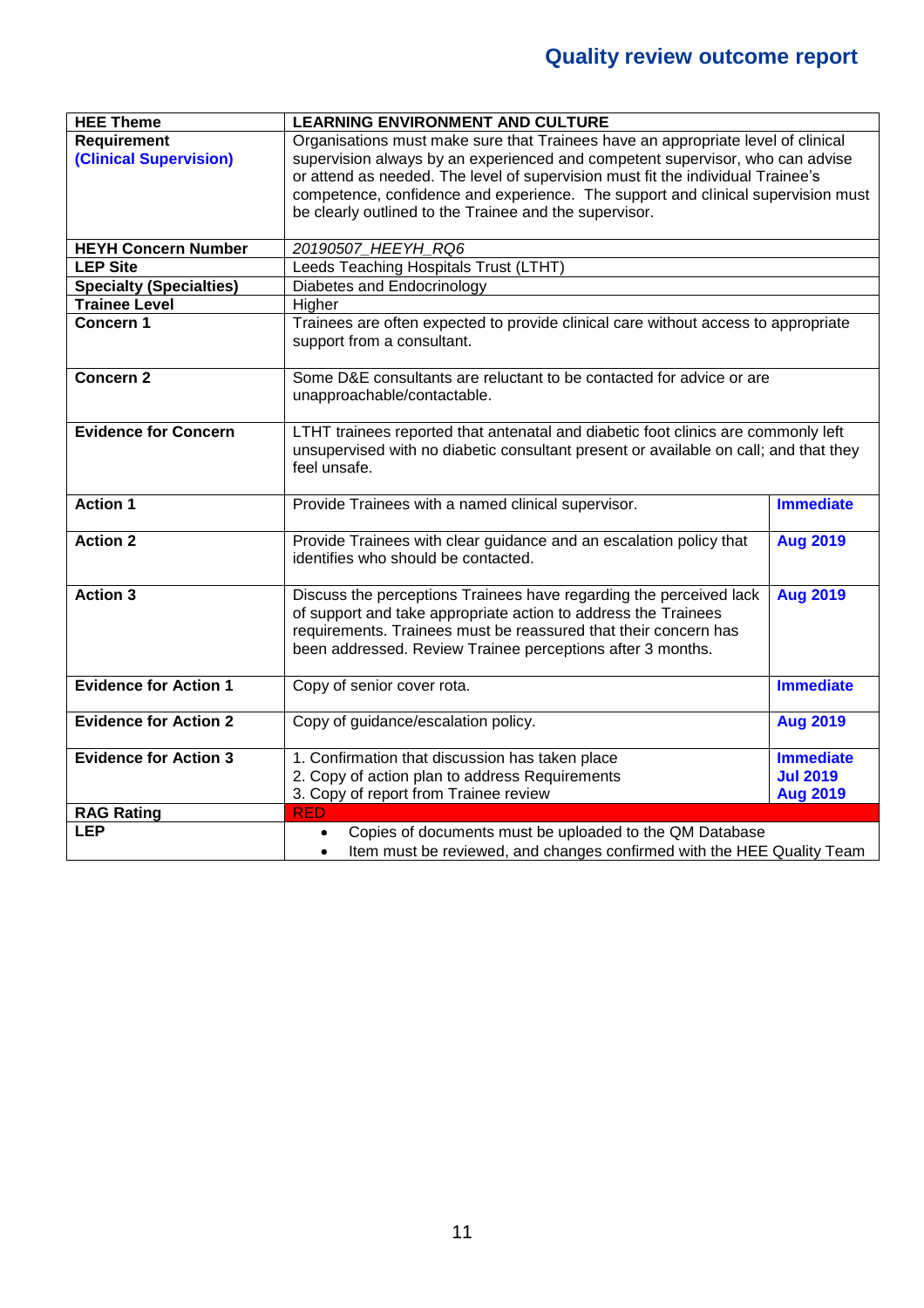| <b>HEE Theme</b>               | <b>LEARNING ENVIRONMENT AND CULTURE</b>                                                                   |                  |  |
|--------------------------------|-----------------------------------------------------------------------------------------------------------|------------------|--|
| <b>Requirement</b>             | Organisations must make sure that Trainees have an appropriate level of clinical                          |                  |  |
| <b>(Clinical Supervision)</b>  | supervision always by an experienced and competent supervisor, who can advise                             |                  |  |
|                                | or attend as needed. The level of supervision must fit the individual Trainee's                           |                  |  |
|                                | competence, confidence and experience. The support and clinical supervision must                          |                  |  |
|                                | be clearly outlined to the Trainee and the supervisor.                                                    |                  |  |
|                                |                                                                                                           |                  |  |
| <b>HEYH Concern Number</b>     | 20190507_HEEYH_RQ6                                                                                        |                  |  |
| <b>LEP Site</b>                | Leeds Teaching Hospitals Trust (LTHT)                                                                     |                  |  |
| <b>Specialty (Specialties)</b> | Diabetes and Endocrinology                                                                                |                  |  |
| <b>Trainee Level</b>           | Higher                                                                                                    |                  |  |
| Concern 1                      | Trainees are often expected to provide clinical care without access to appropriate                        |                  |  |
|                                | support from a consultant.                                                                                |                  |  |
|                                |                                                                                                           |                  |  |
| <b>Concern 2</b>               | Some D&E consultants are reluctant to be contacted for advice or are                                      |                  |  |
|                                | unapproachable/contactable.                                                                               |                  |  |
|                                |                                                                                                           |                  |  |
| <b>Evidence for Concern</b>    | LTHT trainees reported that antenatal and diabetic foot clinics are commonly left                         |                  |  |
|                                | unsupervised with no diabetic consultant present or available on call; and that they                      |                  |  |
|                                | feel unsafe.                                                                                              |                  |  |
|                                |                                                                                                           |                  |  |
| <b>Action 1</b>                | Provide Trainees with a named clinical supervisor.                                                        | <b>Immediate</b> |  |
| <b>Action 2</b>                |                                                                                                           |                  |  |
|                                | Provide Trainees with clear guidance and an escalation policy that<br>identifies who should be contacted. | <b>Aug 2019</b>  |  |
|                                |                                                                                                           |                  |  |
| <b>Action 3</b>                | Discuss the perceptions Trainees have regarding the perceived lack                                        | <b>Aug 2019</b>  |  |
|                                | of support and take appropriate action to address the Trainees                                            |                  |  |
|                                | requirements. Trainees must be reassured that their concern has                                           |                  |  |
|                                | been addressed. Review Trainee perceptions after 3 months.                                                |                  |  |
|                                |                                                                                                           |                  |  |
| <b>Evidence for Action 1</b>   | Copy of senior cover rota.                                                                                | <b>Immediate</b> |  |
|                                |                                                                                                           |                  |  |
| <b>Evidence for Action 2</b>   | Copy of guidance/escalation policy.                                                                       | <b>Aug 2019</b>  |  |
|                                |                                                                                                           |                  |  |
| <b>Evidence for Action 3</b>   | 1. Confirmation that discussion has taken place                                                           | <b>Immediate</b> |  |
|                                | 2. Copy of action plan to address Requirements                                                            | <b>Jul 2019</b>  |  |
|                                | 3. Copy of report from Trainee review                                                                     | <b>Aug 2019</b>  |  |
| <b>RAG Rating</b>              | <b>RED</b>                                                                                                |                  |  |
| <b>LEP</b>                     | Copies of documents must be uploaded to the QM Database<br>$\bullet$                                      |                  |  |
|                                | Item must be reviewed, and changes confirmed with the HEE Quality Team<br>$\bullet$                       |                  |  |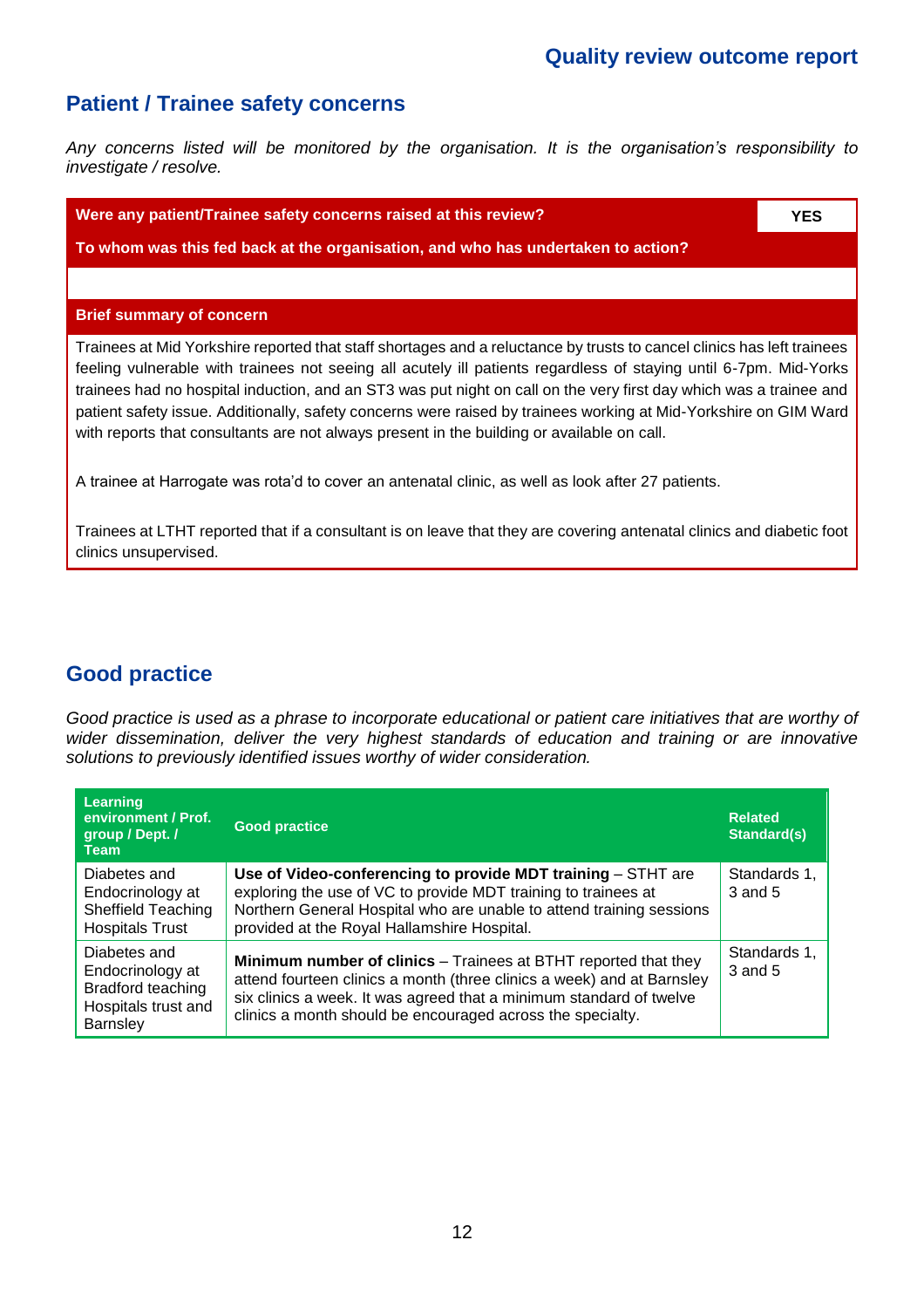٦

### **Patient / Trainee safety concerns**

*Any concerns listed will be monitored by the organisation. It is the organisation's responsibility to investigate / resolve.*

| Were any patient/Trainee safety concerns raised at this review?                                                                                                                                                                                                                                                                                                                                                                                                                                                                                                                     | <b>YES</b> |
|-------------------------------------------------------------------------------------------------------------------------------------------------------------------------------------------------------------------------------------------------------------------------------------------------------------------------------------------------------------------------------------------------------------------------------------------------------------------------------------------------------------------------------------------------------------------------------------|------------|
| To whom was this fed back at the organisation, and who has undertaken to action?                                                                                                                                                                                                                                                                                                                                                                                                                                                                                                    |            |
|                                                                                                                                                                                                                                                                                                                                                                                                                                                                                                                                                                                     |            |
| <b>Brief summary of concern</b>                                                                                                                                                                                                                                                                                                                                                                                                                                                                                                                                                     |            |
| Trainees at Mid Yorkshire reported that staff shortages and a reluctance by trusts to cancel clinics has left trainees<br>feeling vulnerable with trainees not seeing all acutely ill patients regardless of staying until 6-7pm. Mid-Yorks<br>trainees had no hospital induction, and an ST3 was put night on call on the very first day which was a trainee and<br>patient safety issue. Additionally, safety concerns were raised by trainees working at Mid-Yorkshire on GIM Ward<br>with reports that consultants are not always present in the building or available on call. |            |
| A trainee at Harrogate was rota'd to cover an antenatal clinic, as well as look after 27 patients.                                                                                                                                                                                                                                                                                                                                                                                                                                                                                  |            |
| Trainees at LTHT reported that if a consultant is on leave that they are covering antenatal clinics and diabetic foot<br>clinics unsupervised.                                                                                                                                                                                                                                                                                                                                                                                                                                      |            |
|                                                                                                                                                                                                                                                                                                                                                                                                                                                                                                                                                                                     |            |

### **Good practice**

*Good practice is used as a phrase to incorporate educational or patient care initiatives that are worthy of wider dissemination, deliver the very highest standards of education and training or are innovative solutions to previously identified issues worthy of wider consideration.*

| Learning<br>environment / Prof.<br>group / Dept. /<br><b>Team</b>                               | <b>Good practice</b>                                                                                                                                                                                                                                                           | <b>Related</b><br>Standard(s) |
|-------------------------------------------------------------------------------------------------|--------------------------------------------------------------------------------------------------------------------------------------------------------------------------------------------------------------------------------------------------------------------------------|-------------------------------|
| Diabetes and<br>Endocrinology at<br>Sheffield Teaching<br><b>Hospitals Trust</b>                | Use of Video-conferencing to provide MDT training - STHT are<br>exploring the use of VC to provide MDT training to trainees at<br>Northern General Hospital who are unable to attend training sessions<br>provided at the Royal Hallamshire Hospital.                          | Standards 1,<br>3 and 5       |
| Diabetes and<br>Endocrinology at<br>Bradford teaching<br>Hospitals trust and<br><b>Barnsley</b> | Minimum number of clinics - Trainees at BTHT reported that they<br>attend fourteen clinics a month (three clinics a week) and at Barnsley<br>six clinics a week. It was agreed that a minimum standard of twelve<br>clinics a month should be encouraged across the specialty. | Standards 1,<br>3 and 5       |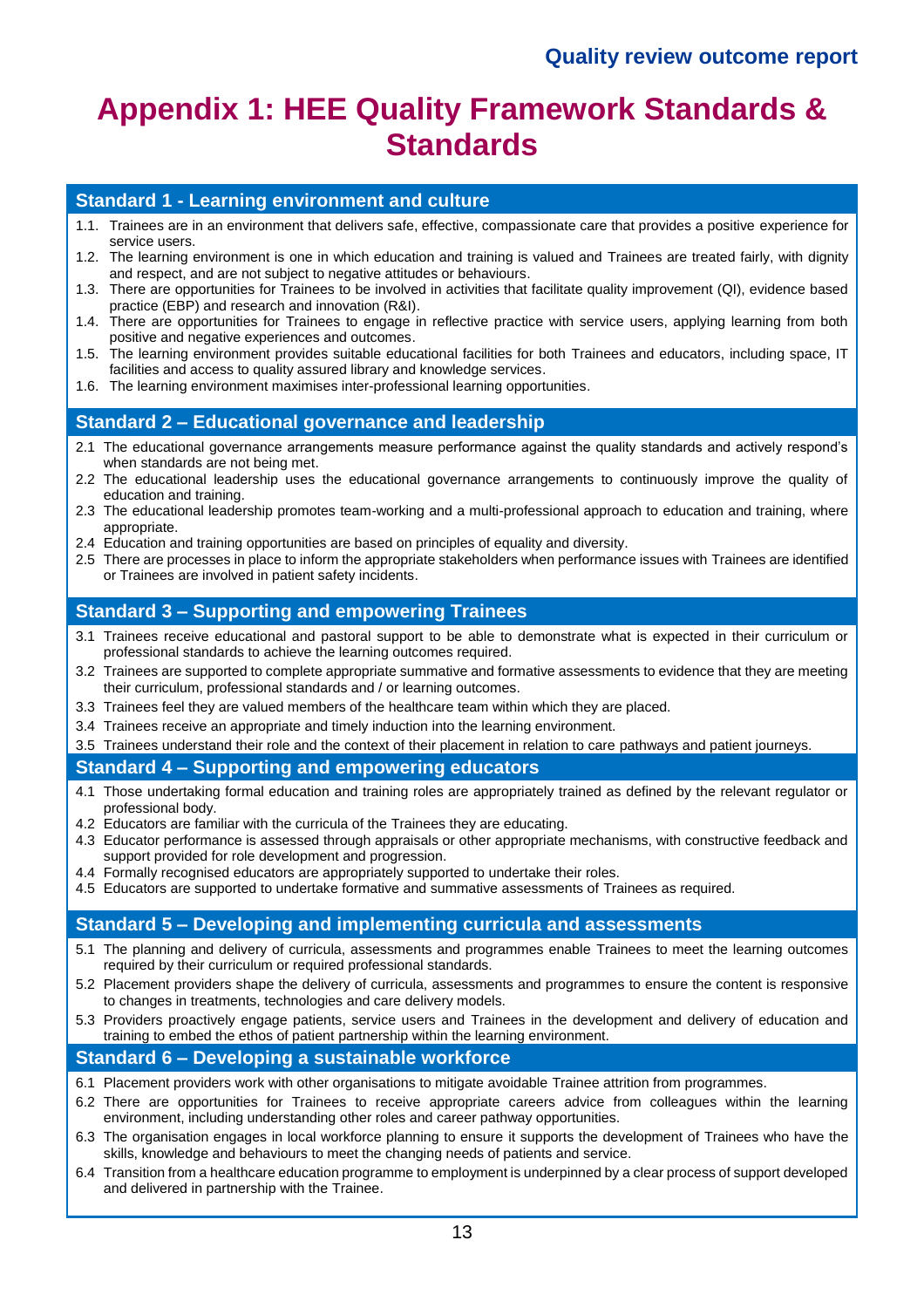## **Appendix 1: HEE Quality Framework Standards & Standards**

#### **Standard 1 - Learning environment and culture**

- 1.1. Trainees are in an environment that delivers safe, effective, compassionate care that provides a positive experience for service users.
- 1.2. The learning environment is one in which education and training is valued and Trainees are treated fairly, with dignity and respect, and are not subject to negative attitudes or behaviours.
- 1.3. There are opportunities for Trainees to be involved in activities that facilitate quality improvement (QI), evidence based practice (EBP) and research and innovation (R&I).
- 1.4. There are opportunities for Trainees to engage in reflective practice with service users, applying learning from both positive and negative experiences and outcomes.
- 1.5. The learning environment provides suitable educational facilities for both Trainees and educators, including space, IT facilities and access to quality assured library and knowledge services.
- 1.6. The learning environment maximises inter-professional learning opportunities.

#### **Standard 2 – Educational governance and leadership**

- 2.1 The educational governance arrangements measure performance against the quality standards and actively respond's when standards are not being met.
- 2.2 The educational leadership uses the educational governance arrangements to continuously improve the quality of education and training.
- 2.3 The educational leadership promotes team-working and a multi-professional approach to education and training, where appropriate.
- 2.4 Education and training opportunities are based on principles of equality and diversity.
- 2.5 There are processes in place to inform the appropriate stakeholders when performance issues with Trainees are identified or Trainees are involved in patient safety incidents.

#### **Standard 3 – Supporting and empowering Trainees**

- 3.1 Trainees receive educational and pastoral support to be able to demonstrate what is expected in their curriculum or professional standards to achieve the learning outcomes required.
- 3.2 Trainees are supported to complete appropriate summative and formative assessments to evidence that they are meeting their curriculum, professional standards and / or learning outcomes.
- 3.3 Trainees feel they are valued members of the healthcare team within which they are placed.
- 3.4 Trainees receive an appropriate and timely induction into the learning environment.
- 3.5 Trainees understand their role and the context of their placement in relation to care pathways and patient journeys.

#### **Standard 4 – Supporting and empowering educators**

- 4.1 Those undertaking formal education and training roles are appropriately trained as defined by the relevant regulator or professional body.
- 4.2 Educators are familiar with the curricula of the Trainees they are educating.
- 4.3 Educator performance is assessed through appraisals or other appropriate mechanisms, with constructive feedback and support provided for role development and progression.
- 4.4 Formally recognised educators are appropriately supported to undertake their roles.
- 4.5 Educators are supported to undertake formative and summative assessments of Trainees as required.

#### **Standard 5 – Developing and implementing curricula and assessments**

- 5.1 The planning and delivery of curricula, assessments and programmes enable Trainees to meet the learning outcomes required by their curriculum or required professional standards.
- 5.2 Placement providers shape the delivery of curricula, assessments and programmes to ensure the content is responsive to changes in treatments, technologies and care delivery models.
- 5.3 Providers proactively engage patients, service users and Trainees in the development and delivery of education and training to embed the ethos of patient partnership within the learning environment.

#### **Standard 6 – Developing a sustainable workforce**

- 6.1 Placement providers work with other organisations to mitigate avoidable Trainee attrition from programmes.
- 6.2 There are opportunities for Trainees to receive appropriate careers advice from colleagues within the learning environment, including understanding other roles and career pathway opportunities.
- 6.3 The organisation engages in local workforce planning to ensure it supports the development of Trainees who have the skills, knowledge and behaviours to meet the changing needs of patients and service.
- 6.4 Transition from a healthcare education programme to employment is underpinned by a clear process of support developed and delivered in partnership with the Trainee.